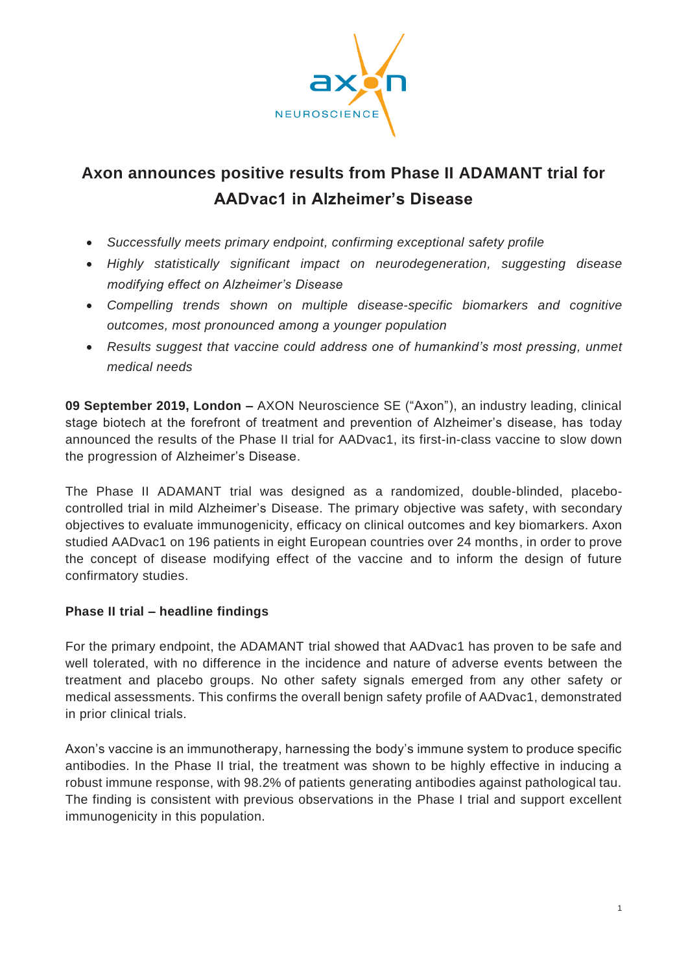

# **Axon announces positive results from Phase II ADAMANT trial for AADvac1 in Alzheimer's Disease**

- *Successfully meets primary endpoint, confirming exceptional safety profile*
- *Highly statistically significant impact on neurodegeneration, suggesting disease modifying effect on Alzheimer's Disease*
- *Compelling trends shown on multiple disease-specific biomarkers and cognitive outcomes, most pronounced among a younger population*
- *Results suggest that vaccine could address one of humankind's most pressing, unmet medical needs*

**09 September 2019, London –** AXON Neuroscience SE ("Axon"), an industry leading, clinical stage biotech at the forefront of treatment and prevention of Alzheimer's disease, has today announced the results of the Phase II trial for AADvac1, its first-in-class vaccine to slow down the progression of Alzheimer's Disease.

The Phase II ADAMANT trial was designed as a randomized, double-blinded, placebocontrolled trial in mild Alzheimer's Disease. The primary objective was safety, with secondary objectives to evaluate immunogenicity, efficacy on clinical outcomes and key biomarkers. Axon studied AADvac1 on 196 patients in eight European countries over 24 months, in order to prove the concept of disease modifying effect of the vaccine and to inform the design of future confirmatory studies.

## **Phase II trial – headline findings**

For the primary endpoint, the ADAMANT trial showed that AADvac1 has proven to be safe and well tolerated, with no difference in the incidence and nature of adverse events between the treatment and placebo groups. No other safety signals emerged from any other safety or medical assessments. This confirms the overall benign safety profile of AADvac1, demonstrated in prior clinical trials.

Axon's vaccine is an immunotherapy, harnessing the body's immune system to produce specific antibodies. In the Phase II trial, the treatment was shown to be highly effective in inducing a robust immune response, with 98.2% of patients generating antibodies against pathological tau. The finding is consistent with previous observations in the Phase I trial and support excellent immunogenicity in this population.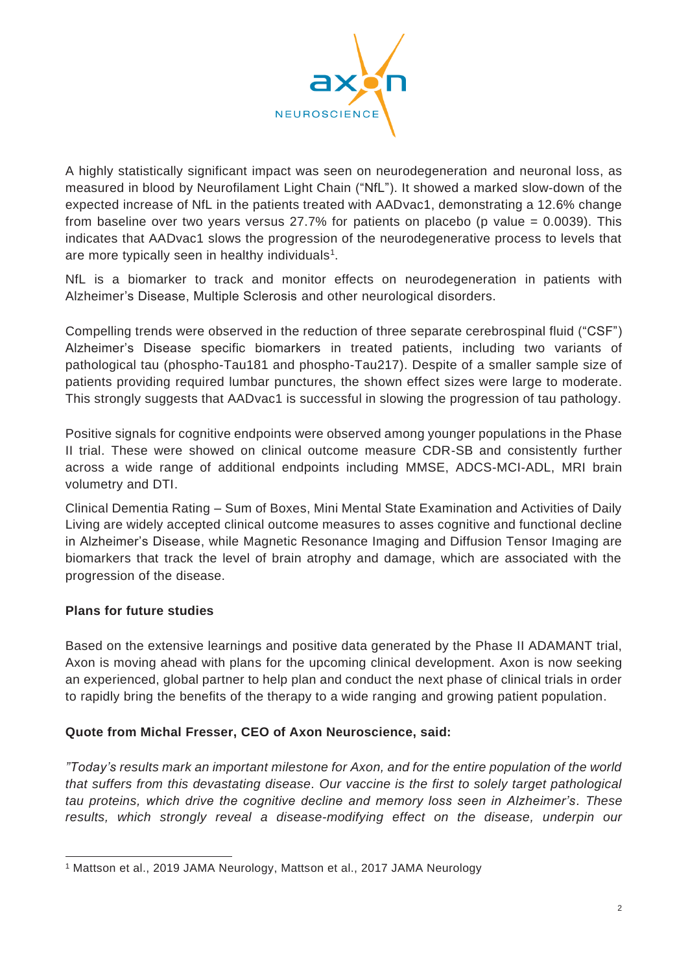

A highly statistically significant impact was seen on neurodegeneration and neuronal loss, as measured in blood by Neurofilament Light Chain ("NfL"). It showed a marked slow-down of the expected increase of NfL in the patients treated with AADvac1, demonstrating a 12.6% change from baseline over two years versus 27.7% for patients on placebo (p value  $= 0.0039$ ). This indicates that AADvac1 slows the progression of the neurodegenerative process to levels that are more typically seen in healthy individuals $<sup>1</sup>$ .</sup>

NfL is a biomarker to track and monitor effects on neurodegeneration in patients with Alzheimer's Disease, Multiple Sclerosis and other neurological disorders.

Compelling trends were observed in the reduction of three separate cerebrospinal fluid ("CSF") Alzheimer's Disease specific biomarkers in treated patients, including two variants of pathological tau (phospho-Tau181 and phospho-Tau217). Despite of a smaller sample size of patients providing required lumbar punctures, the shown effect sizes were large to moderate. This strongly suggests that AADvac1 is successful in slowing the progression of tau pathology.

Positive signals for cognitive endpoints were observed among younger populations in the Phase II trial. These were showed on clinical outcome measure CDR-SB and consistently further across a wide range of additional endpoints including MMSE, ADCS-MCI-ADL, MRI brain volumetry and DTI.

Clinical Dementia Rating – Sum of Boxes, Mini Mental State Examination and Activities of Daily Living are widely accepted clinical outcome measures to asses cognitive and functional decline in Alzheimer's Disease, while Magnetic Resonance Imaging and Diffusion Tensor Imaging are biomarkers that track the level of brain atrophy and damage, which are associated with the progression of the disease.

## **Plans for future studies**

Based on the extensive learnings and positive data generated by the Phase II ADAMANT trial, Axon is moving ahead with plans for the upcoming clinical development. Axon is now seeking an experienced, global partner to help plan and conduct the next phase of clinical trials in order to rapidly bring the benefits of the therapy to a wide ranging and growing patient population.

## **Quote from Michal Fresser, CEO of Axon Neuroscience, said:**

*"Today's results mark an important milestone for Axon, and for the entire population of the world that suffers from this devastating disease. Our vaccine is the first to solely target pathological tau proteins, which drive the cognitive decline and memory loss seen in Alzheimer's. These results, which strongly reveal a disease-modifying effect on the disease, underpin our*

<sup>1</sup> Mattson et al., 2019 JAMA Neurology, Mattson et al., 2017 JAMA Neurology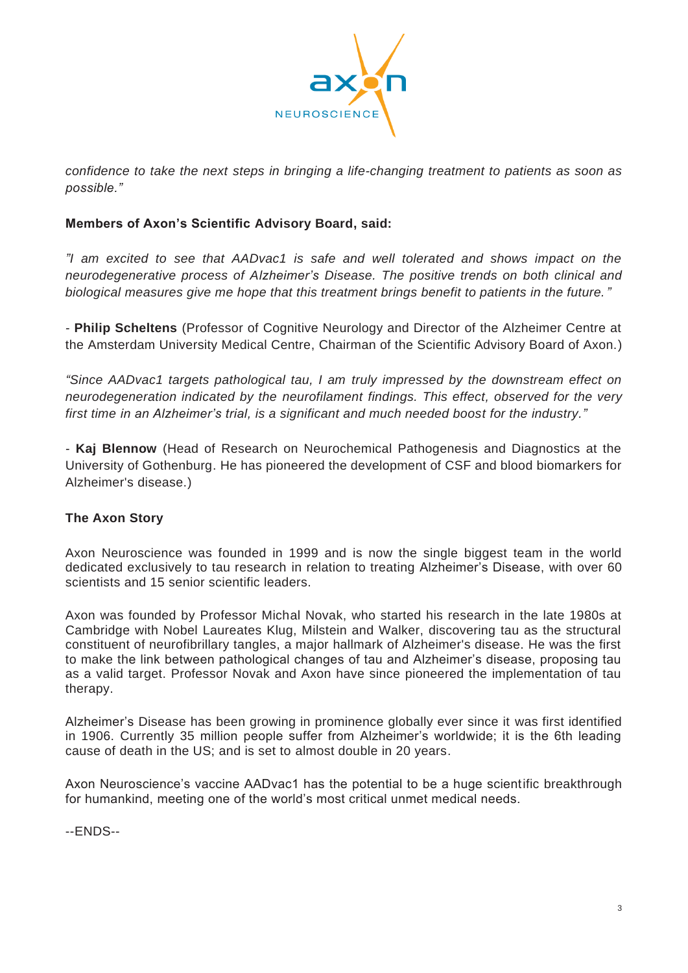

*confidence to take the next steps in bringing a life-changing treatment to patients as soon as possible."*

## **Members of Axon's Scientific Advisory Board, said:**

*"I am excited to see that AADvac1 is safe and well tolerated and shows impact on the neurodegenerative process of Alzheimer's Disease. The positive trends on both clinical and biological measures give me hope that this treatment brings benefit to patients in the future."*

*-* **Philip Scheltens** (Professor of Cognitive Neurology and Director of the Alzheimer Centre at the Amsterdam University Medical Centre, Chairman of the Scientific Advisory Board of Axon.)

*"Since AADvac1 targets pathological tau, I am truly impressed by the downstream effect on neurodegeneration indicated by the neurofilament findings. This effect, observed for the very first time in an Alzheimer's trial, is a significant and much needed boost for the industry."*

*-* **Kaj Blennow** (Head of Research on Neurochemical Pathogenesis and Diagnostics at the University of Gothenburg. He has pioneered the development of CSF and blood biomarkers for Alzheimer's disease.)

## **The Axon Story**

Axon Neuroscience was founded in 1999 and is now the single biggest team in the world dedicated exclusively to tau research in relation to treating Alzheimer's Disease, with over 60 scientists and 15 senior scientific leaders.

Axon was founded by Professor Michal Novak, who started his research in the late 1980s at Cambridge with Nobel Laureates Klug, Milstein and Walker, discovering tau as the structural constituent of neurofibrillary tangles, a major hallmark of Alzheimer's disease. He was the first to make the link between pathological changes of tau and Alzheimer's disease, proposing tau as a valid target. Professor Novak and Axon have since pioneered the implementation of tau therapy.

Alzheimer's Disease has been growing in prominence globally ever since it was first identified in 1906. Currently 35 million people suffer from Alzheimer's worldwide; it is the 6th leading cause of death in the US; and is set to almost double in 20 years.

Axon Neuroscience's vaccine AADvac1 has the potential to be a huge scientific breakthrough for humankind, meeting one of the world's most critical unmet medical needs.

--ENDS--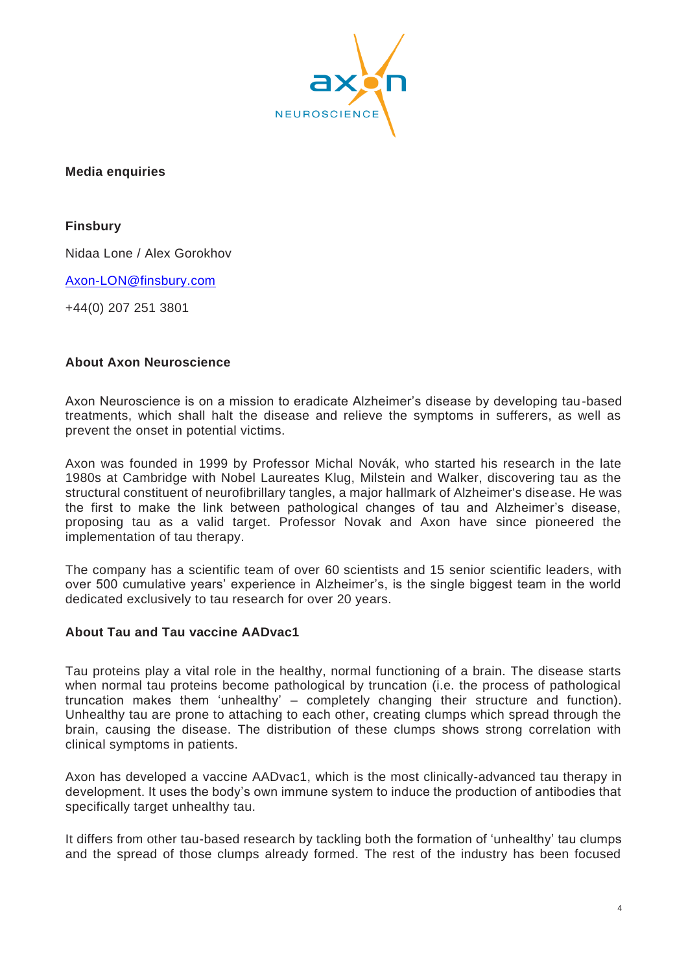

**Media enquiries**

**Finsbury**

Nidaa Lone / Alex Gorokhov

[Axon-LON@finsbury.com](mailto:Axon-LON@finsbury.com)

+44(0) 207 251 3801

#### **About Axon Neuroscience**

Axon Neuroscience is on a mission to eradicate Alzheimer's disease by developing tau-based treatments, which shall halt the disease and relieve the symptoms in sufferers, as well as prevent the onset in potential victims.

Axon was founded in 1999 by Professor Michal Novák, who started his research in the late 1980s at Cambridge with Nobel Laureates Klug, Milstein and Walker, discovering tau as the structural constituent of neurofibrillary tangles, a major hallmark of Alzheimer's disease. He was the first to make the link between pathological changes of tau and Alzheimer's disease, proposing tau as a valid target. Professor Novak and Axon have since pioneered the implementation of tau therapy.

The company has a scientific team of over 60 scientists and 15 senior scientific leaders, with over 500 cumulative years' experience in Alzheimer's, is the single biggest team in the world dedicated exclusively to tau research for over 20 years.

#### **About Tau and Tau vaccine AADvac1**

Tau proteins play a vital role in the healthy, normal functioning of a brain. The disease starts when normal tau proteins become pathological by truncation (i.e. the process of pathological truncation makes them 'unhealthy' – completely changing their structure and function). Unhealthy tau are prone to attaching to each other, creating clumps which spread through the brain, causing the disease. The distribution of these clumps shows strong correlation with clinical symptoms in patients.

Axon has developed a vaccine AADvac1, which is the most clinically-advanced tau therapy in development. It uses the body's own immune system to induce the production of antibodies that specifically target unhealthy tau.

It differs from other tau-based research by tackling both the formation of 'unhealthy' tau clumps and the spread of those clumps already formed. The rest of the industry has been focused